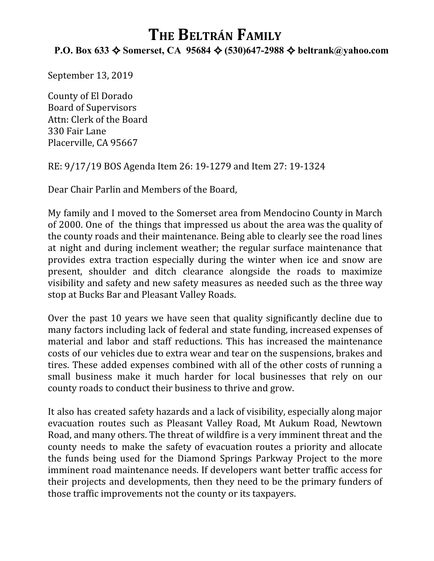## **THE BELTRÁN FAMILY**

## **P.O. Box 633** ✧ **Somerset, CA 95684** ✧ **(530)647-2988** ✧ **beltrank@yahoo.com**

September 13, 2019

County of El Dorado Board of Supervisors Attn: Clerk of the Board 330 Fair Lane Placerville, CA 95667

RE: 9/17/19 BOS Agenda Item 26: 19-1279 and Item 27: 19-1324

Dear Chair Parlin and Members of the Board,

My family and I moved to the Somerset area from Mendocino County in March of 2000. One of the things that impressed us about the area was the quality of the county roads and their maintenance. Being able to clearly see the road lines at night and during inclement weather; the regular surface maintenance that provides extra traction especially during the winter when ice and snow are present, shoulder and ditch clearance alongside the roads to maximize visibility and safety and new safety measures as needed such as the three way stop at Bucks Bar and Pleasant Valley Roads.

Over the past 10 years we have seen that quality significantly decline due to many factors including lack of federal and state funding, increased expenses of material and labor and staff reductions. This has increased the maintenance costs of our vehicles due to extra wear and tear on the suspensions, brakes and tires. These added expenses combined with all of the other costs of running a small business make it much harder for local businesses that rely on our county roads to conduct their business to thrive and grow.

It also has created safety hazards and a lack of visibility, especially along major evacuation routes such as Pleasant Valley Road, Mt Aukum Road, Newtown Road, and many others. The threat of wildfire is a very imminent threat and the county needs to make the safety of evacuation routes a priority and allocate the funds being used for the Diamond Springs Parkway Project to the more imminent road maintenance needs. If developers want better traffic access for their projects and developments, then they need to be the primary funders of those traffic improvements not the county or its taxpayers.